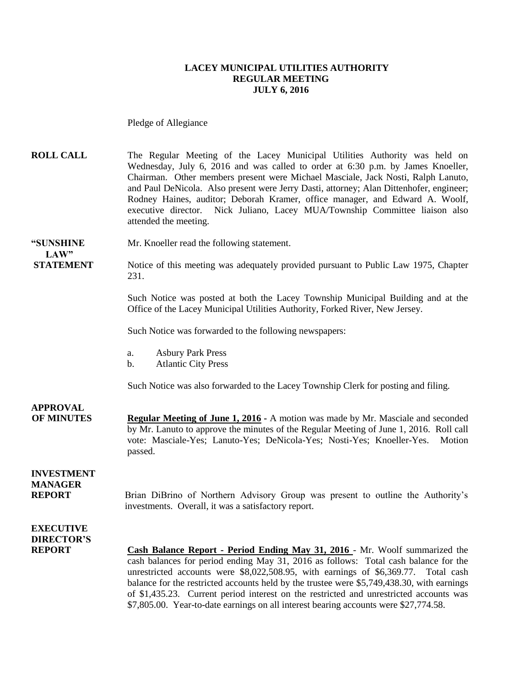#### **LACEY MUNICIPAL UTILITIES AUTHORITY REGULAR MEETING JULY 6, 2016**

Pledge of Allegiance

**ROLL CALL** The Regular Meeting of the Lacey Municipal Utilities Authority was held on Wednesday, July 6, 2016 and was called to order at 6:30 p.m. by James Knoeller, Chairman. Other members present were Michael Masciale, Jack Nosti, Ralph Lanuto, and Paul DeNicola. Also present were Jerry Dasti, attorney; Alan Dittenhofer, engineer; Rodney Haines, auditor; Deborah Kramer, office manager, and Edward A. Woolf, executive director. Nick Juliano, Lacey MUA/Township Committee liaison also attended the meeting.

**"SUNSHINE** Mr. Knoeller read the following statement. **LAW"** 

**STATEMENT** Notice of this meeting was adequately provided pursuant to Public Law 1975, Chapter 231.

> Such Notice was posted at both the Lacey Township Municipal Building and at the Office of the Lacey Municipal Utilities Authority, Forked River, New Jersey.

Such Notice was forwarded to the following newspapers:

- a. Asbury Park Press
- b. Atlantic City Press

Such Notice was also forwarded to the Lacey Township Clerk for posting and filing.

**APPROVAL OF MINUTES Regular Meeting of June 1, 2016 -** A motion was made by Mr. Masciale and seconded by Mr. Lanuto to approve the minutes of the Regular Meeting of June 1, 2016. Roll call vote: Masciale-Yes; Lanuto-Yes; DeNicola-Yes; Nosti-Yes; Knoeller-Yes. Motion passed.

### **INVESTMENT MANAGER**

**REPORT** Brian DiBrino of Northern Advisory Group was present to outline the Authority's investments. Overall, it was a satisfactory report.

### **EXECUTIVE DIRECTOR'S**

**REPORT Cash Balance Report - Period Ending May 31, 2016** - Mr. Woolf summarized the cash balances for period ending May 31, 2016 as follows: Total cash balance for the unrestricted accounts were \$8,022,508.95, with earnings of \$6,369.77. Total cash balance for the restricted accounts held by the trustee were \$5,749,438.30, with earnings of \$1,435.23. Current period interest on the restricted and unrestricted accounts was \$7,805.00. Year-to-date earnings on all interest bearing accounts were \$27,774.58.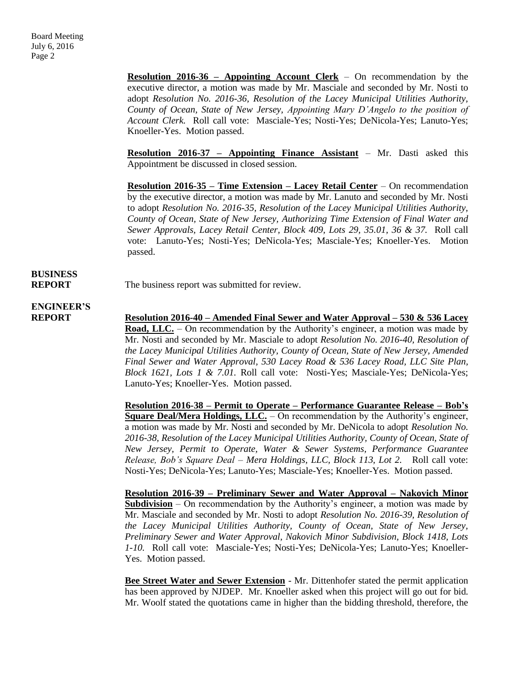**Resolution 2016-36 – Appointing Account Clerk** – On recommendation by the executive director, a motion was made by Mr. Masciale and seconded by Mr. Nosti to adopt *Resolution No. 2016-36, Resolution of the Lacey Municipal Utilities Authority, County of Ocean, State of New Jersey, Appointing Mary D'Angelo to the position of Account Clerk.* Roll call vote: Masciale-Yes; Nosti-Yes; DeNicola-Yes; Lanuto-Yes; Knoeller-Yes. Motion passed.

**Resolution 2016-37 – Appointing Finance Assistant** – Mr. Dasti asked this Appointment be discussed in closed session.

**Resolution 2016-35 – Time Extension – Lacey Retail Center** – On recommendation by the executive director, a motion was made by Mr. Lanuto and seconded by Mr. Nosti to adopt *Resolution No. 2016-35, Resolution of the Lacey Municipal Utilities Authority, County of Ocean, State of New Jersey, Authorizing Time Extension of Final Water and Sewer Approvals, Lacey Retail Center, Block 409, Lots 29, 35.01, 36 & 37.* Roll call vote: Lanuto-Yes; Nosti-Yes; DeNicola-Yes; Masciale-Yes; Knoeller-Yes. Motion passed.

# **BUSINESS**

**REPORT** The business report was submitted for review.

## **ENGINEER'S**

**REPORT Resolution 2016-40 – Amended Final Sewer and Water Approval – 530 & 536 Lacey Road, LLC.** – On recommendation by the Authority's engineer, a motion was made by Mr. Nosti and seconded by Mr. Masciale to adopt *Resolution No. 2016-40, Resolution of the Lacey Municipal Utilities Authority, County of Ocean, State of New Jersey, Amended Final Sewer and Water Approval, 530 Lacey Road & 536 Lacey Road, LLC Site Plan, Block 1621, Lots 1 & 7.01.* Roll call vote: Nosti-Yes; Masciale-Yes; DeNicola-Yes; Lanuto-Yes; Knoeller-Yes. Motion passed.

> **Resolution 2016-38 – Permit to Operate – Performance Guarantee Release – Bob's Square Deal/Mera Holdings, LLC.** – On recommendation by the Authority's engineer, a motion was made by Mr. Nosti and seconded by Mr. DeNicola to adopt *Resolution No. 2016-38, Resolution of the Lacey Municipal Utilities Authority, County of Ocean, State of New Jersey, Permit to Operate, Water & Sewer Systems, Performance Guarantee Release, Bob's Square Deal – Mera Holdings, LLC, Block 113, Lot 2.* Roll call vote: Nosti-Yes; DeNicola-Yes; Lanuto-Yes; Masciale-Yes; Knoeller-Yes. Motion passed.

> **Resolution 2016-39 – Preliminary Sewer and Water Approval – Nakovich Minor Subdivision** – On recommendation by the Authority's engineer, a motion was made by Mr. Masciale and seconded by Mr. Nosti to adopt *Resolution No. 2016-39, Resolution of the Lacey Municipal Utilities Authority, County of Ocean, State of New Jersey, Preliminary Sewer and Water Approval, Nakovich Minor Subdivision, Block 1418, Lots 1-10.* Roll call vote: Masciale-Yes; Nosti-Yes; DeNicola-Yes; Lanuto-Yes; Knoeller-Yes. Motion passed.

> **Bee Street Water and Sewer Extension** - Mr. Dittenhofer stated the permit application has been approved by NJDEP. Mr. Knoeller asked when this project will go out for bid. Mr. Woolf stated the quotations came in higher than the bidding threshold, therefore, the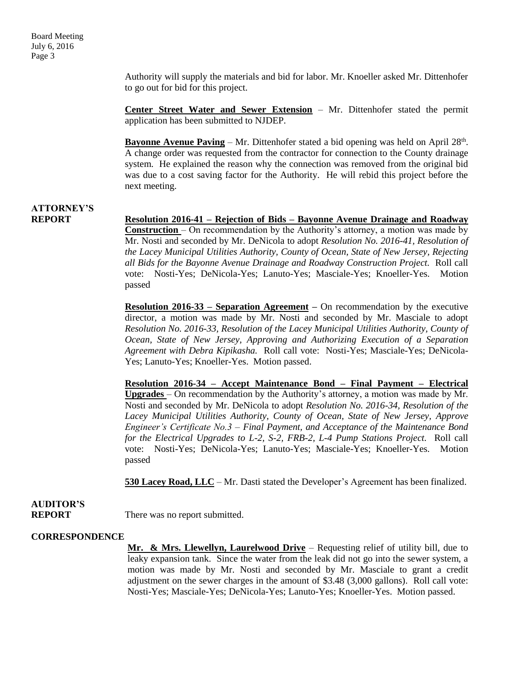Authority will supply the materials and bid for labor. Mr. Knoeller asked Mr. Dittenhofer to go out for bid for this project.

**Center Street Water and Sewer Extension** – Mr. Dittenhofer stated the permit application has been submitted to NJDEP.

**Bayonne Avenue Paving** – Mr. Dittenhofer stated a bid opening was held on April 28<sup>th</sup>. A change order was requested from the contractor for connection to the County drainage system. He explained the reason why the connection was removed from the original bid was due to a cost saving factor for the Authority. He will rebid this project before the next meeting.

### **ATTORNEY'S**

**REPORT Resolution 2016-41 – Rejection of Bids – Bayonne Avenue Drainage and Roadway Construction** – On recommendation by the Authority's attorney, a motion was made by Mr. Nosti and seconded by Mr. DeNicola to adopt *Resolution No. 2016-41, Resolution of the Lacey Municipal Utilities Authority, County of Ocean, State of New Jersey, Rejecting all Bids for the Bayonne Avenue Drainage and Roadway Construction Project.* Roll call vote: Nosti-Yes; DeNicola-Yes; Lanuto-Yes; Masciale-Yes; Knoeller-Yes. Motion passed

> **Resolution 2016-33 – Separation Agreement –** On recommendation by the executive director, a motion was made by Mr. Nosti and seconded by Mr. Masciale to adopt *Resolution No. 2016-33, Resolution of the Lacey Municipal Utilities Authority, County of Ocean, State of New Jersey, Approving and Authorizing Execution of a Separation Agreement with Debra Kipikasha.* Roll call vote: Nosti-Yes; Masciale-Yes; DeNicola-Yes; Lanuto-Yes; Knoeller-Yes. Motion passed.

> **Resolution 2016-34 – Accept Maintenance Bond – Final Payment – Electrical Upgrades** – On recommendation by the Authority's attorney, a motion was made by Mr. Nosti and seconded by Mr. DeNicola to adopt *Resolution No. 2016-34, Resolution of the Lacey Municipal Utilities Authority, County of Ocean, State of New Jersey, Approve Engineer's Certificate No.3 – Final Payment, and Acceptance of the Maintenance Bond for the Electrical Upgrades to L-2, S-2, FRB-2, L-4 Pump Stations Project.* Roll call vote: Nosti-Yes; DeNicola-Yes; Lanuto-Yes; Masciale-Yes; Knoeller-Yes. Motion passed

> **530 Lacey Road, LLC** – Mr. Dasti stated the Developer's Agreement has been finalized.

## **AUDITOR'S**

**REPORT** There was no report submitted.

#### **CORRESPONDENCE**

**Mr. & Mrs. Llewellyn, Laurelwood Drive** – Requesting relief of utility bill, due to leaky expansion tank. Since the water from the leak did not go into the sewer system, a motion was made by Mr. Nosti and seconded by Mr. Masciale to grant a credit adjustment on the sewer charges in the amount of \$3.48 (3,000 gallons). Roll call vote: Nosti-Yes; Masciale-Yes; DeNicola-Yes; Lanuto-Yes; Knoeller-Yes. Motion passed.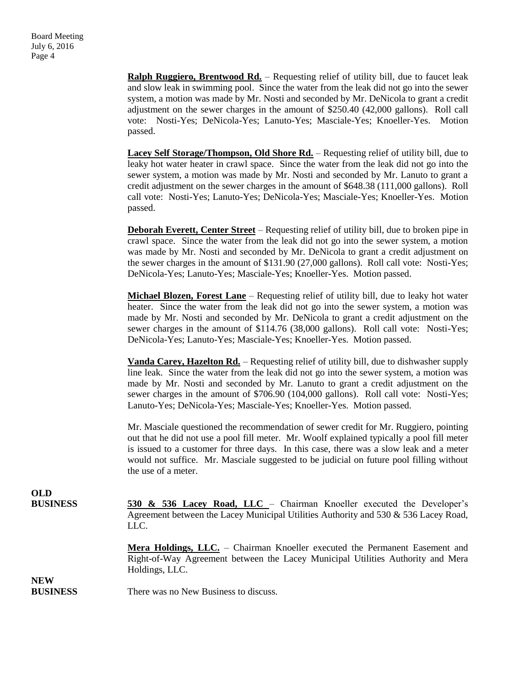**Ralph Ruggiero, Brentwood Rd.** – Requesting relief of utility bill, due to faucet leak and slow leak in swimming pool. Since the water from the leak did not go into the sewer system, a motion was made by Mr. Nosti and seconded by Mr. DeNicola to grant a credit adjustment on the sewer charges in the amount of \$250.40 (42,000 gallons). Roll call vote: Nosti-Yes; DeNicola-Yes; Lanuto-Yes; Masciale-Yes; Knoeller-Yes. Motion passed.

**Lacey Self Storage/Thompson, Old Shore Rd.** – Requesting relief of utility bill, due to leaky hot water heater in crawl space. Since the water from the leak did not go into the sewer system, a motion was made by Mr. Nosti and seconded by Mr. Lanuto to grant a credit adjustment on the sewer charges in the amount of \$648.38 (111,000 gallons). Roll call vote: Nosti-Yes; Lanuto-Yes; DeNicola-Yes; Masciale-Yes; Knoeller-Yes. Motion passed.

**Deborah Everett, Center Street** – Requesting relief of utility bill, due to broken pipe in crawl space. Since the water from the leak did not go into the sewer system, a motion was made by Mr. Nosti and seconded by Mr. DeNicola to grant a credit adjustment on the sewer charges in the amount of \$131.90 (27,000 gallons). Roll call vote: Nosti-Yes; DeNicola-Yes; Lanuto-Yes; Masciale-Yes; Knoeller-Yes. Motion passed.

**Michael Blozen, Forest Lane** – Requesting relief of utility bill, due to leaky hot water heater. Since the water from the leak did not go into the sewer system, a motion was made by Mr. Nosti and seconded by Mr. DeNicola to grant a credit adjustment on the sewer charges in the amount of \$114.76 (38,000 gallons). Roll call vote: Nosti-Yes; DeNicola-Yes; Lanuto-Yes; Masciale-Yes; Knoeller-Yes. Motion passed.

**Vanda Carey, Hazelton Rd.** – Requesting relief of utility bill, due to dishwasher supply line leak. Since the water from the leak did not go into the sewer system, a motion was made by Mr. Nosti and seconded by Mr. Lanuto to grant a credit adjustment on the sewer charges in the amount of \$706.90 (104,000 gallons). Roll call vote: Nosti-Yes; Lanuto-Yes; DeNicola-Yes; Masciale-Yes; Knoeller-Yes. Motion passed.

Mr. Masciale questioned the recommendation of sewer credit for Mr. Ruggiero, pointing out that he did not use a pool fill meter. Mr. Woolf explained typically a pool fill meter is issued to a customer for three days. In this case, there was a slow leak and a meter would not suffice. Mr. Masciale suggested to be judicial on future pool filling without the use of a meter.

**OLD**

**BUSINESS 530 & 536 Lacey Road, LLC** – Chairman Knoeller executed the Developer's Agreement between the Lacey Municipal Utilities Authority and 530 & 536 Lacey Road, LLC.

> **Mera Holdings, LLC.** – Chairman Knoeller executed the Permanent Easement and Right-of-Way Agreement between the Lacey Municipal Utilities Authority and Mera Holdings, LLC.

**NEW**

**BUSINESS** There was no New Business to discuss.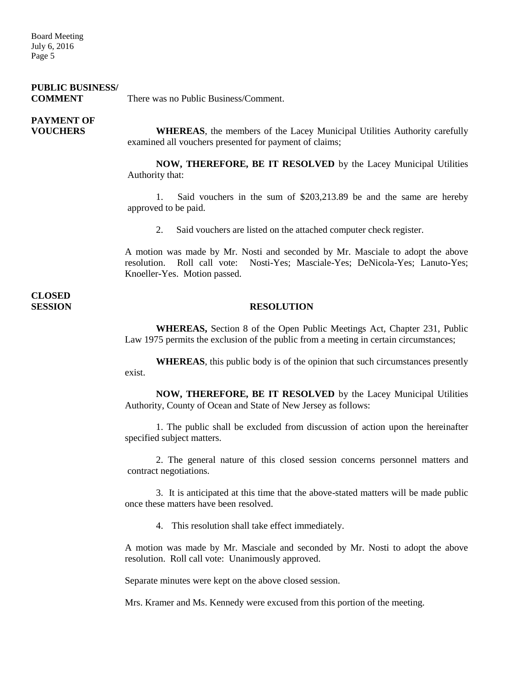Board Meeting July 6, 2016 Page 5

### **PUBLIC BUSINESS/**

**COMMENT** There was no Public Business/Comment.

# **PAYMENT OF**

**VOUCHERS WHEREAS**, the members of the Lacey Municipal Utilities Authority carefully examined all vouchers presented for payment of claims;

> **NOW, THEREFORE, BE IT RESOLVED** by the Lacey Municipal Utilities Authority that:

> 1. Said vouchers in the sum of \$203,213.89 be and the same are hereby approved to be paid.

2. Said vouchers are listed on the attached computer check register.

A motion was made by Mr. Nosti and seconded by Mr. Masciale to adopt the above resolution. Roll call vote: Nosti-Yes; Masciale-Yes; DeNicola-Yes; Lanuto-Yes; Knoeller-Yes. Motion passed.

**CLOSED** 

#### **SESSION RESOLUTION**

**WHEREAS,** Section 8 of the Open Public Meetings Act, Chapter 231, Public Law 1975 permits the exclusion of the public from a meeting in certain circumstances;

**WHEREAS**, this public body is of the opinion that such circumstances presently exist.

**NOW, THEREFORE, BE IT RESOLVED** by the Lacey Municipal Utilities Authority, County of Ocean and State of New Jersey as follows:

1. The public shall be excluded from discussion of action upon the hereinafter specified subject matters.

2. The general nature of this closed session concerns personnel matters and contract negotiations.

3. It is anticipated at this time that the above-stated matters will be made public once these matters have been resolved.

4. This resolution shall take effect immediately.

A motion was made by Mr. Masciale and seconded by Mr. Nosti to adopt the above resolution. Roll call vote: Unanimously approved.

Separate minutes were kept on the above closed session.

Mrs. Kramer and Ms. Kennedy were excused from this portion of the meeting.